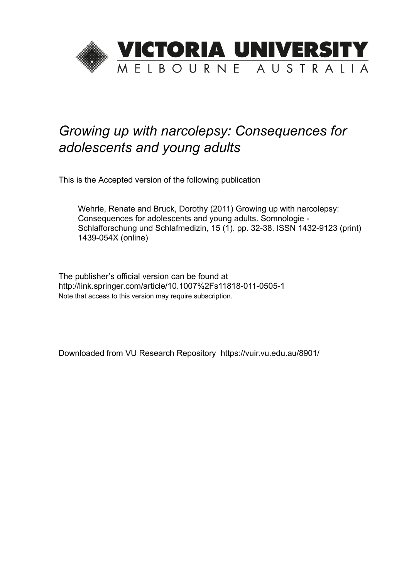

# *Growing up with narcolepsy: Consequences for adolescents and young adults*

This is the Accepted version of the following publication

Wehrle, Renate and Bruck, Dorothy (2011) Growing up with narcolepsy: Consequences for adolescents and young adults. Somnologie - Schlafforschung und Schlafmedizin, 15 (1). pp. 32-38. ISSN 1432-9123 (print) 1439-054X (online)

The publisher's official version can be found at http://link.springer.com/article/10.1007%2Fs11818-011-0505-1 Note that access to this version may require subscription.

Downloaded from VU Research Repository https://vuir.vu.edu.au/8901/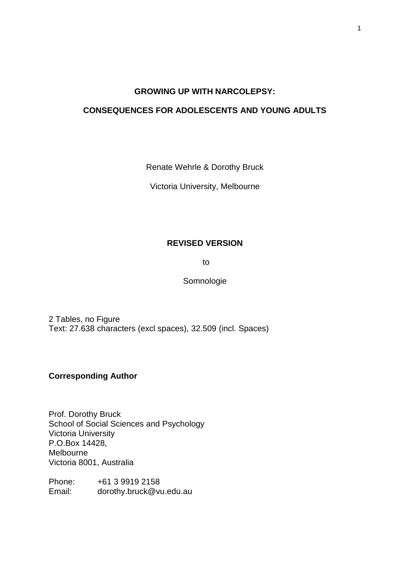## **GROWING UP WITH NARCOLEPSY:**

# **CONSEQUENCES FOR ADOLESCENTS AND YOUNG ADULTS**

Renate Wehrle & Dorothy Bruck

Victoria University, Melbourne

# **REVISED VERSION**

to

Somnologie

2 Tables, no Figure Text: 27.638 characters (excl spaces), 32.509 (incl. Spaces)

# **Corresponding Author**

Prof. Dorothy Bruck School of Social Sciences and Psychology Victoria University P.O.Box 14428, Melbourne Victoria 8001, Australia

Phone: +61 3 9919 2158 Email: dorothy.bruck@vu.edu.au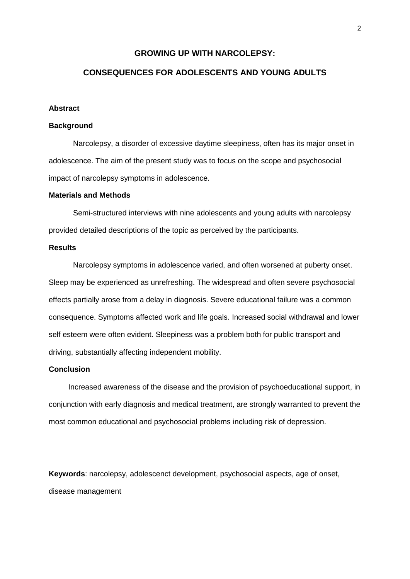## **GROWING UP WITH NARCOLEPSY:**

# **CONSEQUENCES FOR ADOLESCENTS AND YOUNG ADULTS**

#### **Abstract**

#### **Background**

Narcolepsy, a disorder of excessive daytime sleepiness, often has its major onset in adolescence. The aim of the present study was to focus on the scope and psychosocial impact of narcolepsy symptoms in adolescence.

#### **Materials and Methods**

Semi-structured interviews with nine adolescents and young adults with narcolepsy provided detailed descriptions of the topic as perceived by the participants.

#### **Results**

Narcolepsy symptoms in adolescence varied, and often worsened at puberty onset. Sleep may be experienced as unrefreshing. The widespread and often severe psychosocial effects partially arose from a delay in diagnosis. Severe educational failure was a common consequence. Symptoms affected work and life goals. Increased social withdrawal and lower self esteem were often evident. Sleepiness was a problem both for public transport and driving, substantially affecting independent mobility.

#### **Conclusion**

Increased awareness of the disease and the provision of psychoeducational support, in conjunction with early diagnosis and medical treatment, are strongly warranted to prevent the most common educational and psychosocial problems including risk of depression.

**Keywords**: narcolepsy, adolescenct development, psychosocial aspects, age of onset, disease management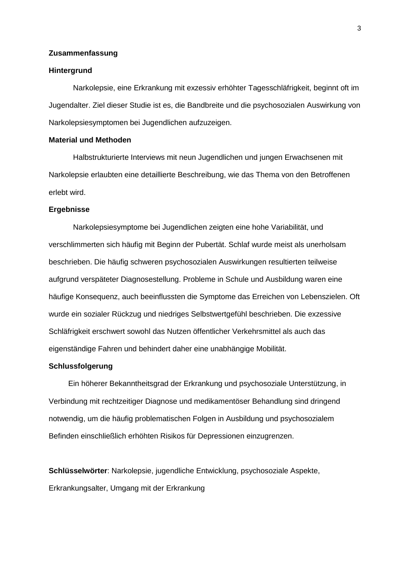## **Zusammenfassung**

#### **Hintergrund**

Narkolepsie, eine Erkrankung mit exzessiv erhöhter Tagesschläfrigkeit, beginnt oft im Jugendalter. Ziel dieser Studie ist es, die Bandbreite und die psychosozialen Auswirkung von Narkolepsiesymptomen bei Jugendlichen aufzuzeigen.

## **Material und Methoden**

Halbstrukturierte Interviews mit neun Jugendlichen und jungen Erwachsenen mit Narkolepsie erlaubten eine detaillierte Beschreibung, wie das Thema von den Betroffenen erlebt wird.

#### **Ergebnisse**

Narkolepsiesymptome bei Jugendlichen zeigten eine hohe Variabilität, und verschlimmerten sich häufig mit Beginn der Pubertät. Schlaf wurde meist als unerholsam beschrieben. Die häufig schweren psychosozialen Auswirkungen resultierten teilweise aufgrund verspäteter Diagnosestellung. Probleme in Schule und Ausbildung waren eine häufige Konsequenz, auch beeinflussten die Symptome das Erreichen von Lebenszielen. Oft wurde ein sozialer Rückzug und niedriges Selbstwertgefühl beschrieben. Die exzessive Schläfrigkeit erschwert sowohl das Nutzen öffentlicher Verkehrsmittel als auch das eigenständige Fahren und behindert daher eine unabhängige Mobilität.

## **Schlussfolgerung**

Ein höherer Bekanntheitsgrad der Erkrankung und psychosoziale Unterstützung, in Verbindung mit rechtzeitiger Diagnose und medikamentöser Behandlung sind dringend notwendig, um die häufig problematischen Folgen in Ausbildung und psychosozialem Befinden einschließlich erhöhten Risikos für Depressionen einzugrenzen.

**Schlüsselwörter**: Narkolepsie, jugendliche Entwicklung, psychosoziale Aspekte, Erkrankungsalter, Umgang mit der Erkrankung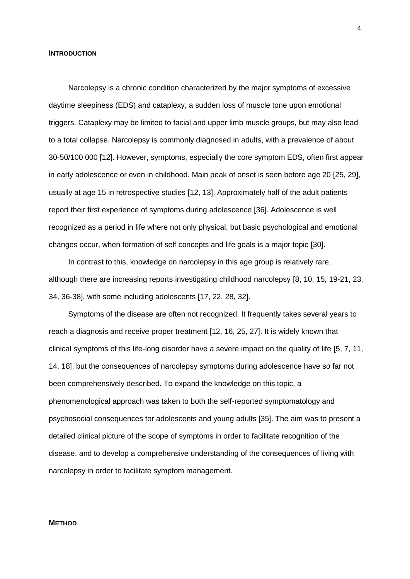#### **INTRODUCTION**

Narcolepsy is a chronic condition characterized by the major symptoms of excessive daytime sleepiness (EDS) and cataplexy, a sudden loss of muscle tone upon emotional triggers. Cataplexy may be limited to facial and upper limb muscle groups, but may also lead to a total collapse. Narcolepsy is commonly diagnosed in adults, with a prevalence of about 30-50/100 000 [12]. However, symptoms, especially the core symptom EDS, often first appear in early adolescence or even in childhood. Main peak of onset is seen before age 20 [25, 29], usually at age 15 in retrospective studies [12, 13]. Approximately half of the adult patients report their first experience of symptoms during adolescence [36]. Adolescence is well recognized as a period in life where not only physical, but basic psychological and emotional changes occur, when formation of self concepts and life goals is a major topic [30].

In contrast to this, knowledge on narcolepsy in this age group is relatively rare, although there are increasing reports investigating childhood narcolepsy [8, 10, 15, 19-21, 23, 34, 36-38], with some including adolescents [17, 22, 28, 32].

Symptoms of the disease are often not recognized. It frequently takes several years to reach a diagnosis and receive proper treatment [12, 16, 25, 27]. It is widely known that clinical symptoms of this life-long disorder have a severe impact on the quality of life [5, 7, 11, 14, 18], but the consequences of narcolepsy symptoms during adolescence have so far not been comprehensively described. To expand the knowledge on this topic, a phenomenological approach was taken to both the self-reported symptomatology and psychosocial consequences for adolescents and young adults [35]. The aim was to present a detailed clinical picture of the scope of symptoms in order to facilitate recognition of the disease, and to develop a comprehensive understanding of the consequences of living with narcolepsy in order to facilitate symptom management.

#### **METHOD**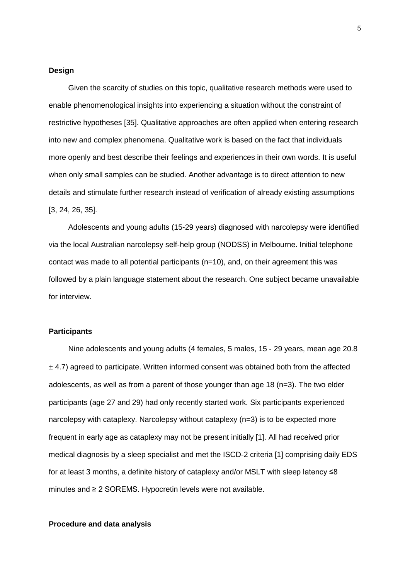#### **Design**

Given the scarcity of studies on this topic, qualitative research methods were used to enable phenomenological insights into experiencing a situation without the constraint of restrictive hypotheses [35]. Qualitative approaches are often applied when entering research into new and complex phenomena. Qualitative work is based on the fact that individuals more openly and best describe their feelings and experiences in their own words. It is useful when only small samples can be studied. Another advantage is to direct attention to new details and stimulate further research instead of verification of already existing assumptions [3, 24, 26, 35].

Adolescents and young adults (15-29 years) diagnosed with narcolepsy were identified via the local Australian narcolepsy self-help group (NODSS) in Melbourne. Initial telephone contact was made to all potential participants (n=10), and, on their agreement this was followed by a plain language statement about the research. One subject became unavailable for interview.

#### **Participants**

Nine adolescents and young adults (4 females, 5 males, 15 - 29 years, mean age 20.8  $\pm$  4.7) agreed to participate. Written informed consent was obtained both from the affected adolescents, as well as from a parent of those younger than age 18 (n=3). The two elder participants (age 27 and 29) had only recently started work. Six participants experienced narcolepsy with cataplexy. Narcolepsy without cataplexy (n=3) is to be expected more frequent in early age as cataplexy may not be present initially [1]. All had received prior medical diagnosis by a sleep specialist and met the ISCD-2 criteria [1] comprising daily EDS for at least 3 months, a definite history of cataplexy and/or MSLT with sleep latency ≤8 minutes and ≥ 2 SOREMS. Hypocretin levels were not available.

#### **Procedure and data analysis**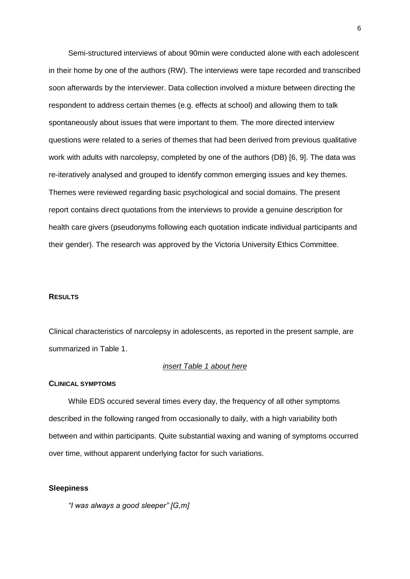Semi-structured interviews of about 90min were conducted alone with each adolescent in their home by one of the authors (RW). The interviews were tape recorded and transcribed soon afterwards by the interviewer. Data collection involved a mixture between directing the respondent to address certain themes (e.g. effects at school) and allowing them to talk spontaneously about issues that were important to them. The more directed interview questions were related to a series of themes that had been derived from previous qualitative work with adults with narcolepsy, completed by one of the authors (DB) [6, 9]. The data was re-iteratively analysed and grouped to identify common emerging issues and key themes. Themes were reviewed regarding basic psychological and social domains. The present report contains direct quotations from the interviews to provide a genuine description for health care givers (pseudonyms following each quotation indicate individual participants and their gender). The research was approved by the Victoria University Ethics Committee.

#### **RESULTS**

Clinical characteristics of narcolepsy in adolescents, as reported in the present sample, are summarized in Table 1.

#### *insert Table 1 about here*

#### **CLINICAL SYMPTOMS**

While EDS occured several times every day, the frequency of all other symptoms described in the following ranged from occasionally to daily, with a high variability both between and within participants. Quite substantial waxing and waning of symptoms occurred over time, without apparent underlying factor for such variations.

#### **Sleepiness**

*"I was always a good sleeper" [G,m]*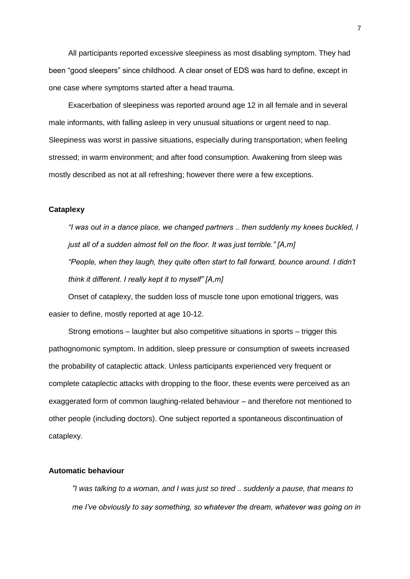All participants reported excessive sleepiness as most disabling symptom. They had been "good sleepers" since childhood. A clear onset of EDS was hard to define, except in one case where symptoms started after a head trauma.

Exacerbation of sleepiness was reported around age 12 in all female and in several male informants, with falling asleep in very unusual situations or urgent need to nap. Sleepiness was worst in passive situations, especially during transportation; when feeling stressed; in warm environment; and after food consumption. Awakening from sleep was mostly described as not at all refreshing; however there were a few exceptions.

## **Cataplexy**

*"I was out in a dance place, we changed partners .. then suddenly my knees buckled, I just all of a sudden almost fell on the floor. It was just terrible." [A,m] "People, when they laugh, they quite often start to fall forward, bounce around. I didn't think it different. I really kept it to myself" [A,m]*

Onset of cataplexy, the sudden loss of muscle tone upon emotional triggers, was easier to define, mostly reported at age 10-12.

Strong emotions – laughter but also competitive situations in sports – trigger this pathognomonic symptom. In addition, sleep pressure or consumption of sweets increased the probability of cataplectic attack. Unless participants experienced very frequent or complete cataplectic attacks with dropping to the floor, these events were perceived as an exaggerated form of common laughing-related behaviour – and therefore not mentioned to other people (including doctors). One subject reported a spontaneous discontinuation of cataplexy.

#### **Automatic behaviour**

*"I was talking to a woman, and I was just so tired .. suddenly a pause, that means to me I've obviously to say something, so whatever the dream, whatever was going on in*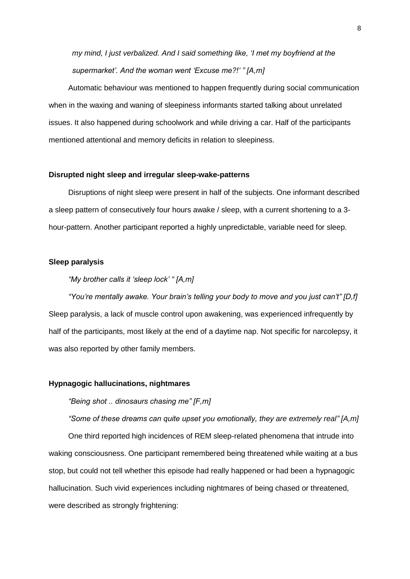*my mind, I just verbalized. And I said something like, 'I met my boyfriend at the supermarket'. And the woman went 'Excuse me?!' " [A,m]*

Automatic behaviour was mentioned to happen frequently during social communication when in the waxing and waning of sleepiness informants started talking about unrelated issues. It also happened during schoolwork and while driving a car. Half of the participants mentioned attentional and memory deficits in relation to sleepiness.

#### **Disrupted night sleep and irregular sleep-wake-patterns**

Disruptions of night sleep were present in half of the subjects. One informant described a sleep pattern of consecutively four hours awake / sleep, with a current shortening to a 3 hour-pattern. Another participant reported a highly unpredictable, variable need for sleep.

#### **Sleep paralysis**

## *"My brother calls it 'sleep lock' " [A,m]*

*"You're mentally awake. Your brain's telling your body to move and you just can't" [D,f]*  Sleep paralysis, a lack of muscle control upon awakening, was experienced infrequently by half of the participants, most likely at the end of a daytime nap. Not specific for narcolepsy, it was also reported by other family members.

#### **Hypnagogic hallucinations, nightmares**

#### *"Being shot .. dinosaurs chasing me" [F,m]*

*"Some of these dreams can quite upset you emotionally, they are extremely real" [A,m]*

One third reported high incidences of REM sleep-related phenomena that intrude into waking consciousness. One participant remembered being threatened while waiting at a bus stop, but could not tell whether this episode had really happened or had been a hypnagogic hallucination. Such vivid experiences including nightmares of being chased or threatened, were described as strongly frightening: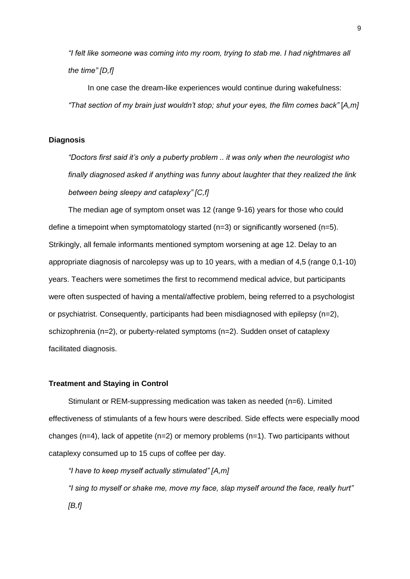*"I felt like someone was coming into my room, trying to stab me. I had nightmares all the time" [D,f]*

In one case the dream-like experiences would continue during wakefulness: *"That section of my brain just wouldn't stop; shut your eyes, the film comes back"* [*A,m]*

## **Diagnosis**

*"Doctors first said it's only a puberty problem .. it was only when the neurologist who finally diagnosed asked if anything was funny about laughter that they realized the link between being sleepy and cataplexy" [C,f]*

The median age of symptom onset was 12 (range 9-16) years for those who could define a timepoint when symptomatology started  $(n=3)$  or significantly worsened  $(n=5)$ . Strikingly, all female informants mentioned symptom worsening at age 12. Delay to an appropriate diagnosis of narcolepsy was up to 10 years, with a median of 4,5 (range 0,1-10) years. Teachers were sometimes the first to recommend medical advice, but participants were often suspected of having a mental/affective problem, being referred to a psychologist or psychiatrist. Consequently, participants had been misdiagnosed with epilepsy (n=2), schizophrenia ( $n=2$ ), or puberty-related symptoms ( $n=2$ ). Sudden onset of cataplexy facilitated diagnosis.

#### **Treatment and Staying in Control**

Stimulant or REM-suppressing medication was taken as needed (n=6). Limited effectiveness of stimulants of a few hours were described. Side effects were especially mood changes ( $n=4$ ), lack of appetite ( $n=2$ ) or memory problems ( $n=1$ ). Two participants without cataplexy consumed up to 15 cups of coffee per day.

*"I have to keep myself actually stimulated" [A,m] "I sing to myself or shake me, move my face, slap myself around the face, really hurt" [B,f]*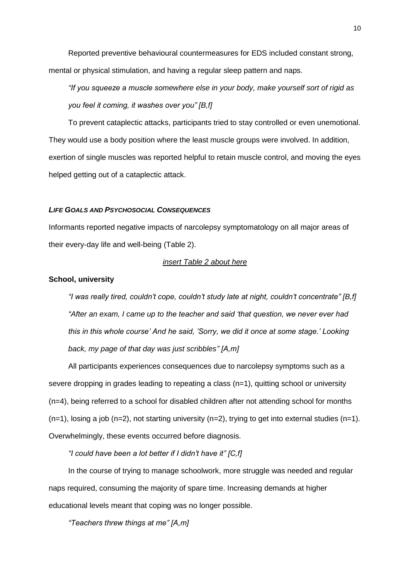Reported preventive behavioural countermeasures for EDS included constant strong, mental or physical stimulation, and having a regular sleep pattern and naps.

*"If you squeeze a muscle somewhere else in your body, make yourself sort of rigid as you feel it coming, it washes over you" [B,f]*

To prevent cataplectic attacks, participants tried to stay controlled or even unemotional. They would use a body position where the least muscle groups were involved. In addition, exertion of single muscles was reported helpful to retain muscle control, and moving the eyes helped getting out of a cataplectic attack.

## *LIFE GOALS AND PSYCHOSOCIAL CONSEQUENCES*

Informants reported negative impacts of narcolepsy symptomatology on all major areas of their every-day life and well-being (Table 2).

## *insert Table 2 about here*

#### **School, university**

*"I was really tired, couldn't cope, couldn't study late at night, couldn't concentrate" [B,f] "After an exam, I came up to the teacher and said 'that question, we never ever had this in this whole course' And he said, 'Sorry, we did it once at some stage.' Looking back, my page of that day was just scribbles" [A,m]*

All participants experiences consequences due to narcolepsy symptoms such as a severe dropping in grades leading to repeating a class (n=1), quitting school or university (n=4), being referred to a school for disabled children after not attending school for months  $(n=1)$ , losing a job  $(n=2)$ , not starting university  $(n=2)$ , trying to get into external studies  $(n=1)$ . Overwhelmingly, these events occurred before diagnosis.

*"I could have been a lot better if I didn't have it" [C,f]*

In the course of trying to manage schoolwork, more struggle was needed and regular naps required, consuming the majority of spare time. Increasing demands at higher educational levels meant that coping was no longer possible.

*"Teachers threw things at me" [A,m]*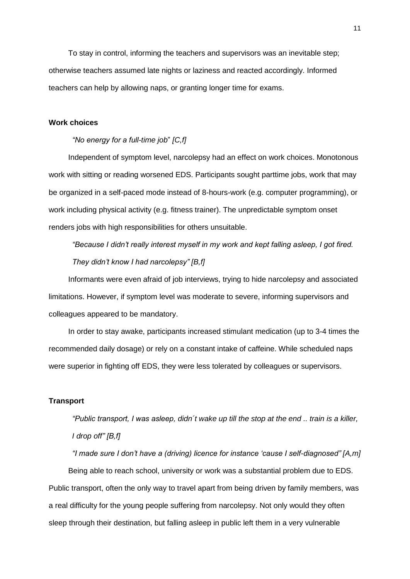To stay in control, informing the teachers and supervisors was an inevitable step; otherwise teachers assumed late nights or laziness and reacted accordingly. Informed teachers can help by allowing naps, or granting longer time for exams.

#### **Work choices**

#### *"No energy for a full-time job*" *[C,f]*

Independent of symptom level, narcolepsy had an effect on work choices. Monotonous work with sitting or reading worsened EDS. Participants sought parttime jobs, work that may be organized in a self-paced mode instead of 8-hours-work (e.g. computer programming), or work including physical activity (e.g. fitness trainer). The unpredictable symptom onset renders jobs with high responsibilities for others unsuitable.

*"Because I didn't really interest myself in my work and kept falling asleep, I got fired. They didn't know I had narcolepsy" [B,f]*

Informants were even afraid of job interviews, trying to hide narcolepsy and associated limitations. However, if symptom level was moderate to severe, informing supervisors and colleagues appeared to be mandatory.

In order to stay awake, participants increased stimulant medication (up to 3-4 times the recommended daily dosage) or rely on a constant intake of caffeine. While scheduled naps were superior in fighting off EDS, they were less tolerated by colleagues or supervisors.

#### **Transport**

*"Public transport, I was asleep, didn´t wake up till the stop at the end .. train is a killer, I drop off" [B,f]*

*"I made sure I don't have a (driving) licence for instance 'cause I self-diagnosed" [A,m]*

Being able to reach school, university or work was a substantial problem due to EDS. Public transport, often the only way to travel apart from being driven by family members, was a real difficulty for the young people suffering from narcolepsy. Not only would they often sleep through their destination, but falling asleep in public left them in a very vulnerable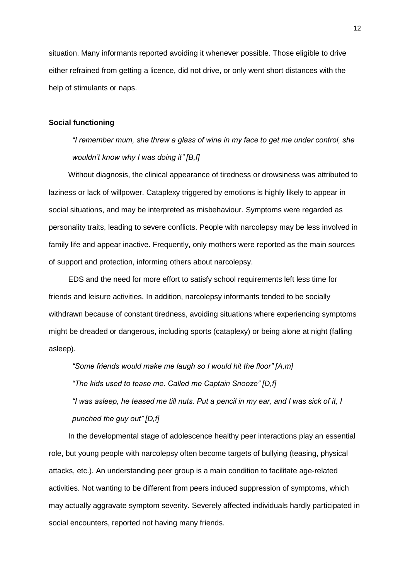situation. Many informants reported avoiding it whenever possible. Those eligible to drive either refrained from getting a licence, did not drive, or only went short distances with the help of stimulants or naps.

#### **Social functioning**

*"I remember mum, she threw a glass of wine in my face to get me under control, she wouldn't know why I was doing it" [B,f]*

Without diagnosis, the clinical appearance of tiredness or drowsiness was attributed to laziness or lack of willpower. Cataplexy triggered by emotions is highly likely to appear in social situations, and may be interpreted as misbehaviour. Symptoms were regarded as personality traits, leading to severe conflicts. People with narcolepsy may be less involved in family life and appear inactive. Frequently, only mothers were reported as the main sources of support and protection, informing others about narcolepsy.

EDS and the need for more effort to satisfy school requirements left less time for friends and leisure activities. In addition, narcolepsy informants tended to be socially withdrawn because of constant tiredness, avoiding situations where experiencing symptoms might be dreaded or dangerous, including sports (cataplexy) or being alone at night (falling asleep).

*"Some friends would make me laugh so I would hit the floor" [A,m] "The kids used to tease me. Called me Captain Snooze" [D,f] "I was asleep, he teased me till nuts. Put a pencil in my ear, and I was sick of it, I punched the guy out" [D,f]*

In the developmental stage of adolescence healthy peer interactions play an essential role, but young people with narcolepsy often become targets of bullying (teasing, physical attacks, etc.). An understanding peer group is a main condition to facilitate age-related activities. Not wanting to be different from peers induced suppression of symptoms, which may actually aggravate symptom severity. Severely affected individuals hardly participated in social encounters, reported not having many friends.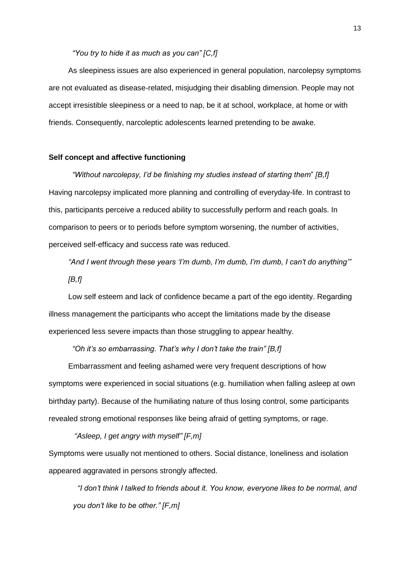## *"You try to hide it as much as you can" [C,f]*

As sleepiness issues are also experienced in general population, narcolepsy symptoms are not evaluated as disease-related, misjudging their disabling dimension. People may not accept irresistible sleepiness or a need to nap, be it at school, workplace, at home or with friends. Consequently, narcoleptic adolescents learned pretending to be awake.

## **Self concept and affective functioning**

*"Without narcolepsy, I'd be finishing my studies instead of starting them*" *[B,f]* Having narcolepsy implicated more planning and controlling of everyday-life. In contrast to this, participants perceive a reduced ability to successfully perform and reach goals. In comparison to peers or to periods before symptom worsening, the number of activities, perceived self-efficacy and success rate was reduced.

*"And I went through these years 'I'm dumb, I'm dumb, I'm dumb, I can't do anything'" [B,f]*

Low self esteem and lack of confidence became a part of the ego identity. Regarding illness management the participants who accept the limitations made by the disease experienced less severe impacts than those struggling to appear healthy.

*"Oh it's so embarrassing. That's why I don't take the train" [B,f]*

Embarrassment and feeling ashamed were very frequent descriptions of how symptoms were experienced in social situations (e.g. humiliation when falling asleep at own birthday party). Because of the humiliating nature of thus losing control, some participants revealed strong emotional responses like being afraid of getting symptoms, or rage.

## *"Asleep, I get angry with myself" [F,m]*

Symptoms were usually not mentioned to others. Social distance, loneliness and isolation appeared aggravated in persons strongly affected.

 *"I don't think I talked to friends about it. You know, everyone likes to be normal, and you don't like to be other." [F,m]*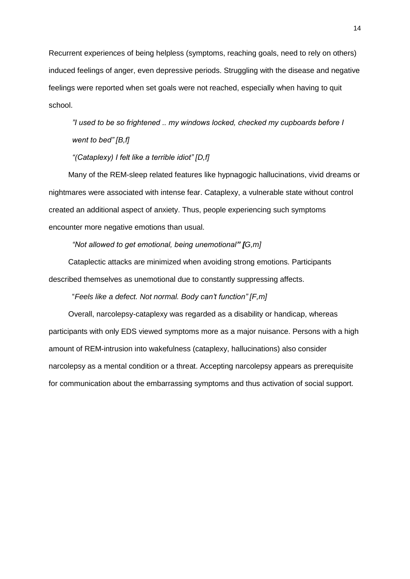Recurrent experiences of being helpless (symptoms, reaching goals, need to rely on others) induced feelings of anger, even depressive periods. Struggling with the disease and negative feelings were reported when set goals were not reached, especially when having to quit school.

*"I used to be so frightened .. my windows locked, checked my cupboards before I went to bed" [B,f]*

*"(Cataplexy) I felt like a terrible idiot" [D,f]*

Many of the REM-sleep related features like hypnagogic hallucinations, vivid dreams or nightmares were associated with intense fear. Cataplexy, a vulnerable state without control created an additional aspect of anxiety. Thus, people experiencing such symptoms encounter more negative emotions than usual.

*"Not allowed to get emotional, being unemotional" [G,m]*

Cataplectic attacks are minimized when avoiding strong emotions. Participants described themselves as unemotional due to constantly suppressing affects.

"*Feels like a defect. Not normal. Body can't function" [F,m]*

Overall, narcolepsy-cataplexy was regarded as a disability or handicap, whereas participants with only EDS viewed symptoms more as a major nuisance. Persons with a high amount of REM-intrusion into wakefulness (cataplexy, hallucinations) also consider narcolepsy as a mental condition or a threat. Accepting narcolepsy appears as prerequisite for communication about the embarrassing symptoms and thus activation of social support.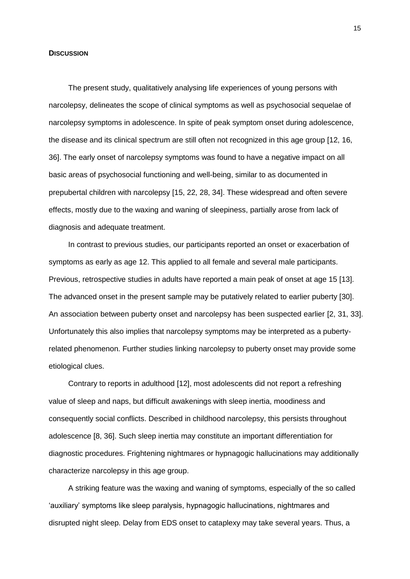#### **DISCUSSION**

The present study, qualitatively analysing life experiences of young persons with narcolepsy, delineates the scope of clinical symptoms as well as psychosocial sequelae of narcolepsy symptoms in adolescence. In spite of peak symptom onset during adolescence, the disease and its clinical spectrum are still often not recognized in this age group [12, 16, 36]. The early onset of narcolepsy symptoms was found to have a negative impact on all basic areas of psychosocial functioning and well-being, similar to as documented in prepubertal children with narcolepsy [15, 22, 28, 34]. These widespread and often severe effects, mostly due to the waxing and waning of sleepiness, partially arose from lack of diagnosis and adequate treatment.

In contrast to previous studies, our participants reported an onset or exacerbation of symptoms as early as age 12. This applied to all female and several male participants. Previous, retrospective studies in adults have reported a main peak of onset at age 15 [13]. The advanced onset in the present sample may be putatively related to earlier puberty [30]. An association between puberty onset and narcolepsy has been suspected earlier [2, 31, 33]. Unfortunately this also implies that narcolepsy symptoms may be interpreted as a pubertyrelated phenomenon. Further studies linking narcolepsy to puberty onset may provide some etiological clues.

Contrary to reports in adulthood [12], most adolescents did not report a refreshing value of sleep and naps, but difficult awakenings with sleep inertia, moodiness and consequently social conflicts. Described in childhood narcolepsy, this persists throughout adolescence [8, 36]. Such sleep inertia may constitute an important differentiation for diagnostic procedures. Frightening nightmares or hypnagogic hallucinations may additionally characterize narcolepsy in this age group.

A striking feature was the waxing and waning of symptoms, especially of the so called 'auxiliary' symptoms like sleep paralysis, hypnagogic hallucinations, nightmares and disrupted night sleep. Delay from EDS onset to cataplexy may take several years. Thus, a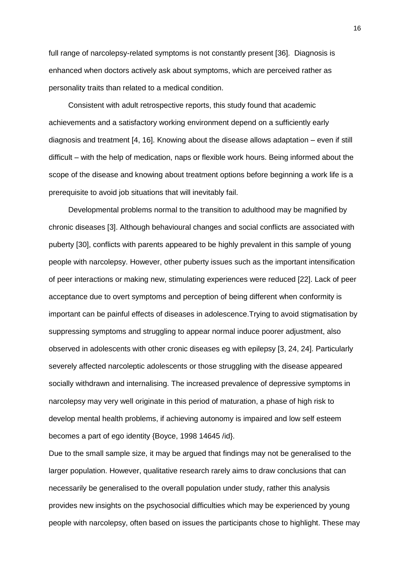full range of narcolepsy-related symptoms is not constantly present [36]. Diagnosis is enhanced when doctors actively ask about symptoms, which are perceived rather as personality traits than related to a medical condition.

Consistent with adult retrospective reports, this study found that academic achievements and a satisfactory working environment depend on a sufficiently early diagnosis and treatment [4, 16]. Knowing about the disease allows adaptation – even if still difficult – with the help of medication, naps or flexible work hours. Being informed about the scope of the disease and knowing about treatment options before beginning a work life is a prerequisite to avoid job situations that will inevitably fail.

Developmental problems normal to the transition to adulthood may be magnified by chronic diseases [3]. Although behavioural changes and social conflicts are associated with puberty [30], conflicts with parents appeared to be highly prevalent in this sample of young people with narcolepsy. However, other puberty issues such as the important intensification of peer interactions or making new, stimulating experiences were reduced [22]. Lack of peer acceptance due to overt symptoms and perception of being different when conformity is important can be painful effects of diseases in adolescence.Trying to avoid stigmatisation by suppressing symptoms and struggling to appear normal induce poorer adjustment, also observed in adolescents with other cronic diseases eg with epilepsy [3, 24, 24]. Particularly severely affected narcoleptic adolescents or those struggling with the disease appeared socially withdrawn and internalising. The increased prevalence of depressive symptoms in narcolepsy may very well originate in this period of maturation, a phase of high risk to develop mental health problems, if achieving autonomy is impaired and low self esteem becomes a part of ego identity {Boyce, 1998 14645 /id}.

Due to the small sample size, it may be argued that findings may not be generalised to the larger population. However, qualitative research rarely aims to draw conclusions that can necessarily be generalised to the overall population under study, rather this analysis provides new insights on the psychosocial difficulties which may be experienced by young people with narcolepsy, often based on issues the participants chose to highlight. These may

16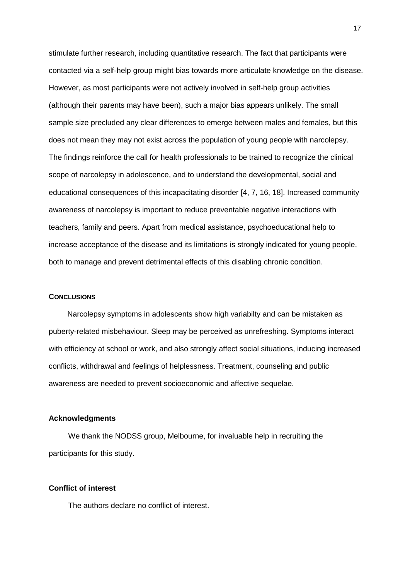stimulate further research, including quantitative research. The fact that participants were contacted via a self-help group might bias towards more articulate knowledge on the disease. However, as most participants were not actively involved in self-help group activities (although their parents may have been), such a major bias appears unlikely. The small sample size precluded any clear differences to emerge between males and females, but this does not mean they may not exist across the population of young people with narcolepsy. The findings reinforce the call for health professionals to be trained to recognize the clinical scope of narcolepsy in adolescence, and to understand the developmental, social and educational consequences of this incapacitating disorder [4, 7, 16, 18]. Increased community awareness of narcolepsy is important to reduce preventable negative interactions with teachers, family and peers. Apart from medical assistance, psychoeducational help to increase acceptance of the disease and its limitations is strongly indicated for young people, both to manage and prevent detrimental effects of this disabling chronic condition.

#### **CONCLUSIONS**

Narcolepsy symptoms in adolescents show high variabilty and can be mistaken as puberty-related misbehaviour. Sleep may be perceived as unrefreshing. Symptoms interact with efficiency at school or work, and also strongly affect social situations, inducing increased conflicts, withdrawal and feelings of helplessness. Treatment, counseling and public awareness are needed to prevent socioeconomic and affective sequelae.

#### **Acknowledgments**

We thank the NODSS group, Melbourne, for invaluable help in recruiting the participants for this study.

#### **Conflict of interest**

The authors declare no conflict of interest.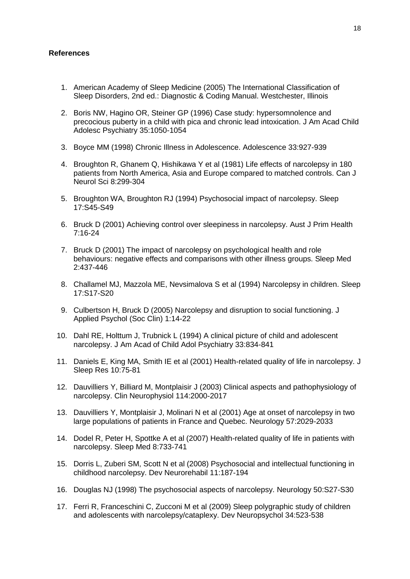#### **References**

- 1. American Academy of Sleep Medicine (2005) The International Classification of Sleep Disorders, 2nd ed.: Diagnostic & Coding Manual. Westchester, Illinois
- 2. Boris NW, Hagino OR, Steiner GP (1996) Case study: hypersomnolence and precocious puberty in a child with pica and chronic lead intoxication. J Am Acad Child Adolesc Psychiatry 35:1050-1054
- 3. Boyce MM (1998) Chronic Illness in Adolescence. Adolescence 33:927-939
- 4. Broughton R, Ghanem Q, Hishikawa Y et al (1981) Life effects of narcolepsy in 180 patients from North America, Asia and Europe compared to matched controls. Can J Neurol Sci 8:299-304
- 5. Broughton WA, Broughton RJ (1994) Psychosocial impact of narcolepsy. Sleep 17:S45-S49
- 6. Bruck D (2001) Achieving control over sleepiness in narcolepsy. Aust J Prim Health 7:16-24
- 7. Bruck D (2001) The impact of narcolepsy on psychological health and role behaviours: negative effects and comparisons with other illness groups. Sleep Med 2:437-446
- 8. Challamel MJ, Mazzola ME, Nevsimalova S et al (1994) Narcolepsy in children. Sleep 17:S17-S20
- 9. Culbertson H, Bruck D (2005) Narcolepsy and disruption to social functioning. J Applied Psychol (Soc Clin) 1:14-22
- 10. Dahl RE, Holttum J, Trubnick L (1994) A clinical picture of child and adolescent narcolepsy. J Am Acad of Child Adol Psychiatry 33:834-841
- 11. Daniels E, King MA, Smith IE et al (2001) Health-related quality of life in narcolepsy. J Sleep Res 10:75-81
- 12. Dauvilliers Y, Billiard M, Montplaisir J (2003) Clinical aspects and pathophysiology of narcolepsy. Clin Neurophysiol 114:2000-2017
- 13. Dauvilliers Y, Montplaisir J, Molinari N et al (2001) Age at onset of narcolepsy in two large populations of patients in France and Quebec. Neurology 57:2029-2033
- 14. Dodel R, Peter H, Spottke A et al (2007) Health-related quality of life in patients with narcolepsy. Sleep Med 8:733-741
- 15. Dorris L, Zuberi SM, Scott N et al (2008) Psychosocial and intellectual functioning in childhood narcolepsy. Dev Neurorehabil 11:187-194
- 16. Douglas NJ (1998) The psychosocial aspects of narcolepsy. Neurology 50:S27-S30
- 17. Ferri R, Franceschini C, Zucconi M et al (2009) Sleep polygraphic study of children and adolescents with narcolepsy/cataplexy. Dev Neuropsychol 34:523-538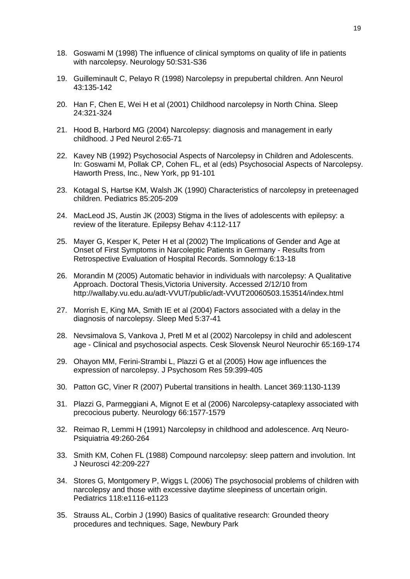- 18. Goswami M (1998) The influence of clinical symptoms on quality of life in patients with narcolepsy. Neurology 50:S31-S36
- 19. Guilleminault C, Pelayo R (1998) Narcolepsy in prepubertal children. Ann Neurol 43:135-142
- 20. Han F, Chen E, Wei H et al (2001) Childhood narcolepsy in North China. Sleep 24:321-324
- 21. Hood B, Harbord MG (2004) Narcolepsy: diagnosis and management in early childhood. J Ped Neurol 2:65-71
- 22. Kavey NB (1992) Psychosocial Aspects of Narcolepsy in Children and Adolescents. In: Goswami M, Pollak CP, Cohen FL, et al (eds) Psychosocial Aspects of Narcolepsy. Haworth Press, Inc., New York, pp 91-101
- 23. Kotagal S, Hartse KM, Walsh JK (1990) Characteristics of narcolepsy in preteenaged children. Pediatrics 85:205-209
- 24. MacLeod JS, Austin JK (2003) Stigma in the lives of adolescents with epilepsy: a review of the literature. Epilepsy Behav 4:112-117
- 25. Mayer G, Kesper K, Peter H et al (2002) The Implications of Gender and Age at Onset of First Symptoms in Narcoleptic Patients in Germany - Results from Retrospective Evaluation of Hospital Records. Somnology 6:13-18
- 26. Morandin M (2005) Automatic behavior in individuals with narcolepsy: A Qualitative Approach. Doctoral Thesis,Victoria University. Accessed 2/12/10 from http://wallaby.vu.edu.au/adt-VVUT/public/adt-VVUT20060503.153514/index.html
- 27. Morrish E, King MA, Smith IE et al (2004) Factors associated with a delay in the diagnosis of narcolepsy. Sleep Med 5:37-41
- 28. Nevsimalova S, Vankova J, Pretl M et al (2002) Narcolepsy in child and adolescent age - Clinical and psychosocial aspects. Cesk Slovensk Neurol Neurochir 65:169-174
- 29. Ohayon MM, Ferini-Strambi L, Plazzi G et al (2005) How age influences the expression of narcolepsy. J Psychosom Res 59:399-405
- 30. Patton GC, Viner R (2007) Pubertal transitions in health. Lancet 369:1130-1139
- 31. Plazzi G, Parmeggiani A, Mignot E et al (2006) Narcolepsy-cataplexy associated with precocious puberty. Neurology 66:1577-1579
- 32. Reimao R, Lemmi H (1991) Narcolepsy in childhood and adolescence. Arq Neuro-Psiquiatria 49:260-264
- 33. Smith KM, Cohen FL (1988) Compound narcolepsy: sleep pattern and involution. Int J Neurosci 42:209-227
- 34. Stores G, Montgomery P, Wiggs L (2006) The psychosocial problems of children with narcolepsy and those with excessive daytime sleepiness of uncertain origin. Pediatrics 118:e1116-e1123
- 35. Strauss AL, Corbin J (1990) Basics of qualitative research: Grounded theory procedures and techniques. Sage, Newbury Park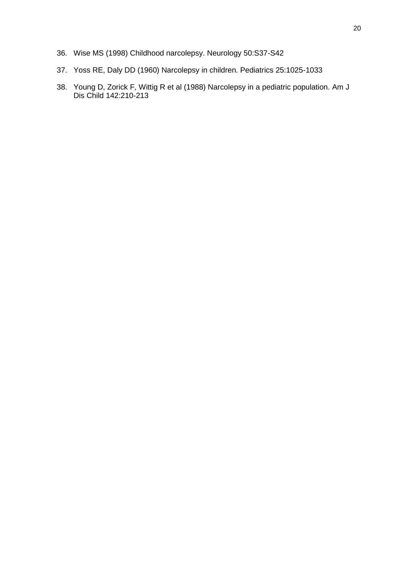- 36. Wise MS (1998) Childhood narcolepsy. Neurology 50:S37-S42
- 37. Yoss RE, Daly DD (1960) Narcolepsy in children. Pediatrics 25:1025-1033
- 38. Young D, Zorick F, Wittig R et al (1988) Narcolepsy in a pediatric population. Am J Dis Child 142:210-213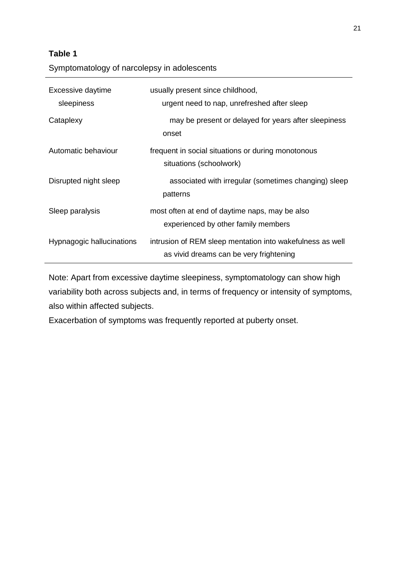# **Table 1**

Symptomatology of narcolepsy in adolescents

| Excessive daytime<br>sleepiness | usually present since childhood,<br>urgent need to nap, unrefreshed after sleep                      |
|---------------------------------|------------------------------------------------------------------------------------------------------|
| Cataplexy                       | may be present or delayed for years after sleepiness<br>onset                                        |
| Automatic behaviour             | frequent in social situations or during monotonous<br>situations (schoolwork)                        |
| Disrupted night sleep           | associated with irregular (sometimes changing) sleep<br>patterns                                     |
| Sleep paralysis                 | most often at end of daytime naps, may be also<br>experienced by other family members                |
| Hypnagogic hallucinations       | intrusion of REM sleep mentation into wakefulness as well<br>as vivid dreams can be very frightening |

Note: Apart from excessive daytime sleepiness, symptomatology can show high variability both across subjects and, in terms of frequency or intensity of symptoms, also within affected subjects.

Exacerbation of symptoms was frequently reported at puberty onset.